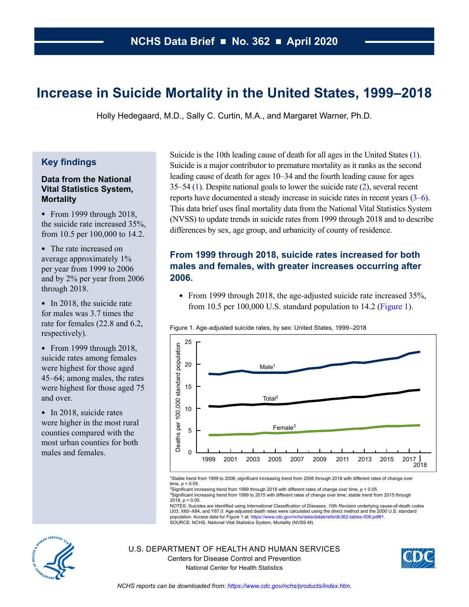# **Increase in Suicide Mortality in the United States, 1999–2018**

Holly Hedegaard, M.D., Sally C. Curtin, M.A., and Margaret Warner, Ph.D.

### **Key findings**

#### **Data from the National Vital Statistics System, Mortality**

 $\bullet$  From 1999 through 2018, the suicide rate increased 35%, from 10.5 per 100,000 to 14.2.

• The rate increased on average approximately 1% per year from 1999 to 2006 and by 2% per year from 2006 through 2018.

• In 2018, the suicide rate for males was 3.7 times the rate for females (22.8 and 6.2, respectively).

• From 1999 through 2018, suicide rates among females were highest for those aged 45–64; among males, the rates were highest for those aged 75 and over.

• In 2018, suicide rates were higher in the most rural counties compared with the most urban counties for both males and females.

Suicide is the 10th leading cause of death for all ages in the United States [\(1\)](#page-6-0). Suicide is a major contributor to premature mortality as it ranks as the second leading cause of death for ages 10–34 and the fourth leading cause for ages 35–54 [\(1\)](#page-6-0). Despite national goals to lower the suicide rate  $(2)$  $(2)$ , several recent reports have documented a steady increase in suicide rates in recent years [\(3–6\)](#page-6-0). This data brief uses final mortality data from the National Vital Statistics System (NVSS) to update trends in suicide rates from 1999 through 2018 and to describe differences by sex, age group, and urbanicity of county of residence.

# **From 1999 through 2018, suicide rates increased for both males and females, with greater increases occurring after 2006.**

• From 1999 through 2018, the age-adjusted suicide rate increased 35%, from 10.5 per 100,000 U.S. standard population to 14.2 (Figure 1).

Figure 1. Age-adjusted suicide rates, by sex: United States, 1999–2018



1Stable trend from 1999 to 2006; significant increasing trend from 2006 through 2018 with different rates of change over time, *p* < 0.05.

2Significant increasing trend from 1999 through 2018 with different rates of change over time, *p* < 0.05. <sup>3</sup>Significant increasing trend from 1999 to 2015 with different rates of change over time; stable trend from 2015 through<br>2018, *p* < 0.05.

NOTES: Suicides are identified using *International Classification of Diseases*, *10th Revision* underlying cause-of-death codes U03, X60–X84, and Y87.0. Age-adjusted death rates were calculated using the direct method and the 2000 U.S. standard<br>population. Access data for Figure 1 at: https://www.cdc.gov/nchs/data/databriefs/db362-tables-508.pdf#1. population. Access data for Figure 1 at: https://www.cdc.gov/nchs/data/data<br>SOURCE: NCHS, National Vital Statistics System, Mortality (NVSS-M).

U.S. DEPARTMENT OF HEALTH AND HUMAN SERVICES Centers for Disease Control and Prevention National Center for Health Statistics



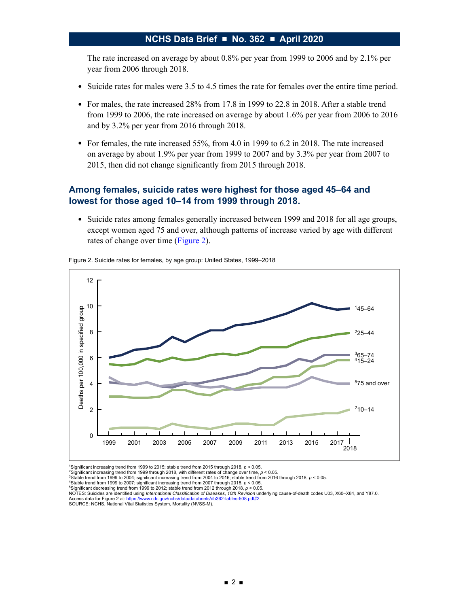The rate increased on average by about 0.8% per year from 1999 to 2006 and by 2.1% per year from 2006 through 2018.

- Suicide rates for males were 3.5 to 4.5 times the rate for females over the entire time period.
- For males, the rate increased 28% from 17.8 in 1999 to 22.8 in 2018. After a stable trend from 1999 to 2006, the rate increased on average by about 1.6% per year from 2006 to 2016 and by 3.2% per year from 2016 through 2018.
- $\bullet$  For females, the rate increased 55%, from 4.0 in 1999 to 6.2 in 2018. The rate increased on average by about 1.9% per year from 1999 to 2007 and by 3.3% per year from 2007 to 2015, then did not change significantly from 2015 through 2018.

### **Among females, suicide rates were highest for those aged 45–64 and lowest for those aged 10–14 from 1999 through 2018.**

● Suicide rates among females generally increased between 1999 and 2018 for all age groups, except women aged 75 and over, although patterns of increase varied by age with different rates of change over time (Figure 2).



Figure 2. Suicide rates for females, by age group: United States, 1999–2018

1Significant increasing trend from 1999 to 2015; stable trend from 2015 through 2018, *p* < 0.05.

 $\frac{2}{3}$  Significant increasing trend from 1999 through 2018, with different rates of change over time,  $p < 0.05$ .<br><sup>3</sup>Significant increasing trend from 1999 through 2018, with different rates of change over time,  $p < 0.0$ 

<sup>4</sup>Stable trend from 1999 to 2007; significant increasing trend from 2007 through 2018, *p* < 0.05.<br><sup>5</sup>Significant decreasing trend from 1999 to 2012; stable trend from 2012 through 2018, *p* < 0.05.

NOTES: Suicides are identified using *International Classification of Diseases*, *10th Revision* underlying cause-of-death codes U03, X60–X84, and Y87.0. Access data for Figure 2 at: https://www.cdc.gov/nchs/data/databriefs/db362-tables-508.pdf#2.<br>SOURCE: NCHS, National Vital Statistics System, Mortality (NVSS-M).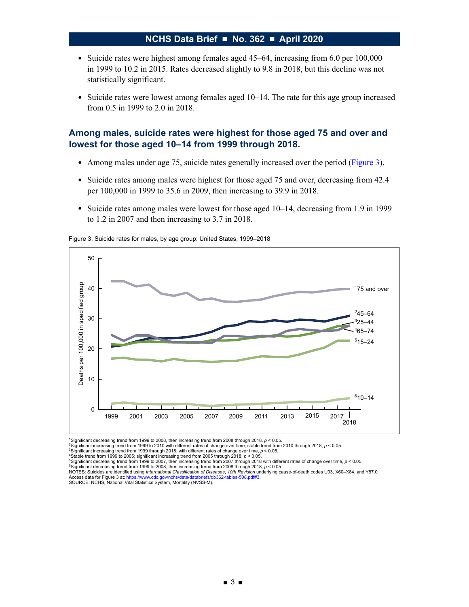- Suicide rates were highest among females aged 45–64, increasing from 6.0 per 100,000 in 1999 to 10.2 in 2015. Rates decreased slightly to 9.8 in 2018, but this decline was not statistically significant.
- Suicide rates were lowest among females aged 10–14. The rate for this age group increased from 0.5 in 1999 to 2.0 in 2018.

### **Among males, suicide rates were highest for those aged 75 and over and lowest for those aged 10–14 from 1999 through 2018.**

- Among males under age 75, suicide rates generally increased over the period (Figure 3).
- Suicide rates among males were highest for those aged 75 and over, decreasing from 42.4 per 100,000 in 1999 to 35.6 in 2009, then increasing to 39.9 in 2018.
- Suicide rates among males were lowest for those aged 10–14, decreasing from 1.9 in 1999 to 1.2 in 2007 and then increasing to 3.7 in 2018.

Figure 3. Suicide rates for males, by age group: United States, 1999–2018



<sup>1</sup>Significant decreasing trend from 1999 to 2008, then increasing trend from 2008 through 2018, p < 0.05.<br><sup>2</sup>Significant increasing trend from 1999 to 2010 with different rates of change over time; stable trend from 2010

3Significant increasing trend from 1999 through 2018, with different rates of change over time, *p* < 0.05.

<sup>4</sup>Stable trend from 1999 to 2005; significant increasing trend from 2005 through 2018, *p* < 0.05.<br><sup>5</sup>Significant decreasing trend from 1999 to 2007, then increasing trend from 2007 through 2018 with different rates of c

<sup>&</sup>lt;sup>6</sup>Significant decreasing trend from 1999 to 2008, then increasing trend from 2008 through 2018, *p* < 0.05.<br>NOTES: Suicides are identified using *International Classification of Diseases, 10th Revision* underlying cause-o Access data for Figure 3 at: https://www.cdc.gov/nchs/data/databriefs/db362-tables-508.pdf#3.<br>SOURCE: NCHS, National Vital Statistics System, Mortality (NVSS-M).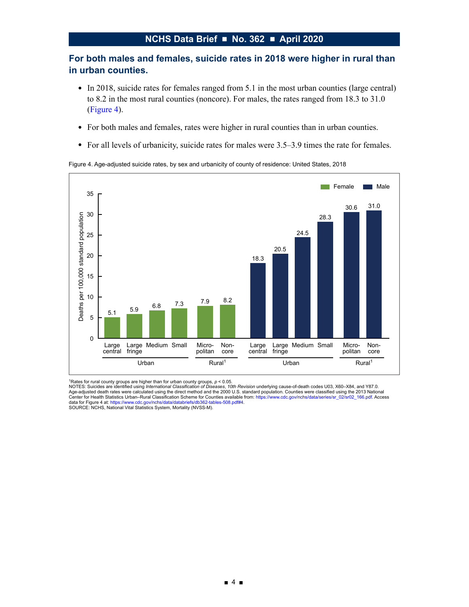# <span id="page-3-0"></span>**For both males and females, suicide rates in 2018 were higher in rural than in urban counties.**

- In 2018, suicide rates for females ranged from 5.1 in the most urban counties (large central) to 8.2 in the most rural counties (noncore). For males, the rates ranged from 18.3 to 31.0 (Figure 4).
- For both males and females, rates were higher in rural counties than in urban counties.
- For all levels of urbanicity, suicide rates for males were 3.5–3.9 times the rate for females.

Figure 4. Age-adjusted suicide rates, by sex and urbanicity of county of residence: United States, 2018



<sup>1</sup>Rates for rural county groups are higher than for urban county groups, *p* < 0.05.<br>NOTES: Suicides are identified using *International Classification of Diseases, 10th Revision* underlying cause-of-death codes U03, X60 Age-adjusted death rates were calculated using the direct method and the 2000 U.S. standard population. Counties were classified using the 2013 National<br>Center for Health Statistics Urban–Rural Classification Scheme for Co data for Figure 4 at: https://www.cdc.gov/nchs/data/databriefs/db362-tables-508.pdf#4.<br>SOURCE: NCHS, National Vital Statistics System, Mortality (NVSS-M).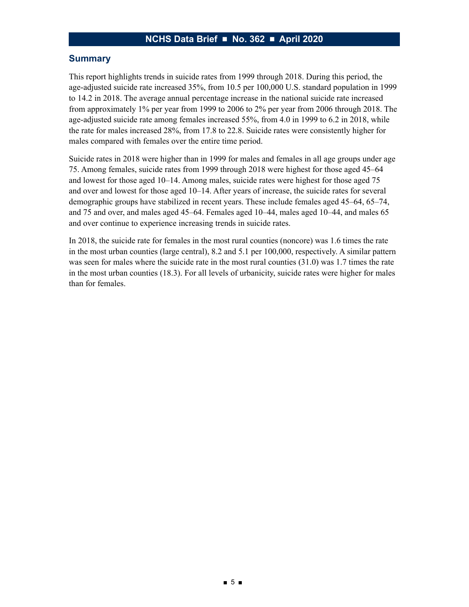### **Summary**

This report highlights trends in suicide rates from 1999 through 2018. During this period, the age-adjusted suicide rate increased 35%, from 10.5 per 100,000 U.S. standard population in 1999 to 14.2 in 2018. The average annual percentage increase in the national suicide rate increased from approximately 1% per year from 1999 to 2006 to 2% per year from 2006 through 2018. The age-adjusted suicide rate among females increased 55%, from 4.0 in 1999 to 6.2 in 2018, while the rate for males increased 28%, from 17.8 to 22.8. Suicide rates were consistently higher for males compared with females over the entire time period.

Suicide rates in 2018 were higher than in 1999 for males and females in all age groups under age 75. Among females, suicide rates from 1999 through 2018 were highest for those aged 45–64 and lowest for those aged 10–14. Among males, suicide rates were highest for those aged 75 and over and lowest for those aged 10–14. After years of increase, the suicide rates for several demographic groups have stabilized in recent years. These include females aged 45–64, 65–74, and 75 and over, and males aged 45–64. Females aged 10–44, males aged 10–44, and males 65 and over continue to experience increasing trends in suicide rates.

In 2018, the suicide rate for females in the most rural counties (noncore) was 1.6 times the rate in the most urban counties (large central), 8.2 and 5.1 per 100,000, respectively. A similar pattern was seen for males where the suicide rate in the most rural counties (31.0) was 1.7 times the rate in the most urban counties (18.3). For all levels of urbanicity, suicide rates were higher for males than for females.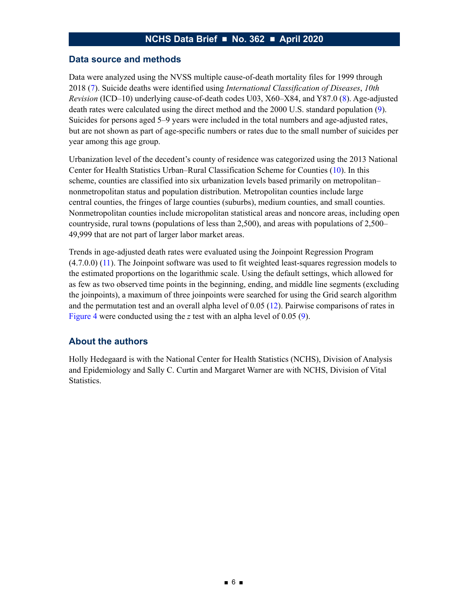#### **Data source and methods**

Data were analyzed using the NVSS multiple cause-of-death mortality files for 1999 through 2018 [\(7\)](#page-6-0). Suicide deaths were identified using *International Classification of Diseases*, *10th Revision* (ICD–10) underlying cause-of-death codes U03, X60–X84, and Y87.0 ([8\)](#page-6-0). Age-adjusted death rates were calculated using the direct method and the 2000 U.S. standard population [\(9\)](#page-6-0). Suicides for persons aged 5–9 years were included in the total numbers and age-adjusted rates, but are not shown as part of age-specific numbers or rates due to the small number of suicides per year among this age group.

Urbanization level of the decedent's county of residence was categorized using the 2013 National Center for Health Statistics Urban–Rural Classification Scheme for Counties [\(10\)](#page-6-0). In this scheme, counties are classified into six urbanization levels based primarily on metropolitan– nonmetropolitan status and population distribution. Metropolitan counties include large central counties, the fringes of large counties (suburbs), medium counties, and small counties. Nonmetropolitan counties include micropolitan statistical areas and noncore areas, including open countryside, rural towns (populations of less than 2,500), and areas with populations of 2,500– 49,999 that are not part of larger labor market areas.

Trends in age-adjusted death rates were evaluated using the Joinpoint Regression Program (4.7.0.0) ([11\)](#page-6-0). The Joinpoint software was used to fit weighted least-squares regression models to the estimated proportions on the logarithmic scale. Using the default settings, which allowed for as few as two observed time points in the beginning, ending, and middle line segments (excluding the joinpoints), a maximum of three joinpoints were searched for using the Grid search algorithm and the permutation test and an overall alpha level of 0.05 ([12\)](#page-6-0). Pairwise comparisons of rates in [Figure 4](#page-3-0) were conducted using the *z* test with an alpha level of 0.05 [\(9\)](#page-6-0).

### **About the authors**

Holly Hedegaard is with the National Center for Health Statistics (NCHS), Division of Analysis and Epidemiology and Sally C. Curtin and Margaret Warner are with NCHS, Division of Vital Statistics.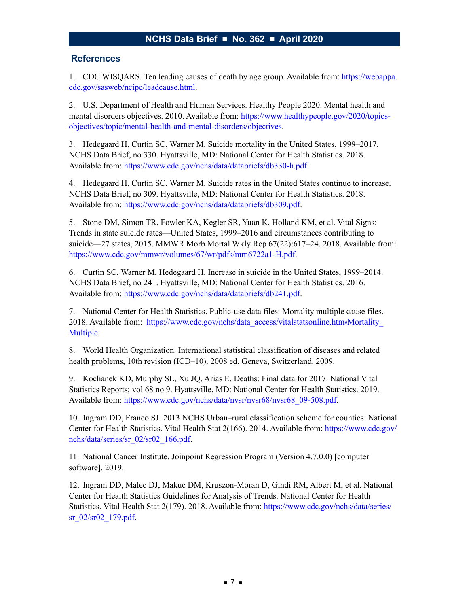#### <span id="page-6-0"></span>**References**

1. CDC WISQARS. Ten leading causes of death by age group. Available from: [https://webappa.](https://webappa.cdc.gov/sasweb/ncipc/leadcause.html) [cdc.gov/sasweb/ncipc/leadcause.html.](https://webappa.cdc.gov/sasweb/ncipc/leadcause.html)

2. U.S. Department of Health and Human Services. Healthy People 2020. Mental health and mental disorders objectives. 2010. Available from: [https://www.healthypeople.gov/2020/topics](https://www.healthypeople.gov/2020/topics-objectives/topic/mental-health-and-mental-disorders/objectives)[objectives/topic/mental-health-and-mental-disorders/objectives.](https://www.healthypeople.gov/2020/topics-objectives/topic/mental-health-and-mental-disorders/objectives)

3. Hedegaard H, Curtin SC, Warner M. Suicide mortality in the United States, 1999–2017. NCHS Data Brief, no 330. Hyattsville, MD: National Center for Health Statistics. 2018. Available from: [https://www.cdc.gov/nchs/data/databriefs/db330-h.pdf.](https://www.cdc.gov/nchs/data/databriefs/db330-h.pdf)

4. Hedegaard H, Curtin SC, Warner M. Suicide rates in the United States continue to increase. NCHS Data Brief, no 309. Hyattsville, MD: National Center for Health Statistics. 2018. Available from: [https://www.cdc.gov/nchs/data/databriefs/db309.pdf.](https://www.cdc.gov/nchs/data/databriefs/db309.pdf)

5. Stone DM, Simon TR, Fowler KA, Kegler SR, Yuan K, Holland KM, et al. Vital Signs: Trends in state suicide rates—United States, 1999–2016 and circumstances contributing to suicide—27 states, 2015. MMWR Morb Mortal Wkly Rep 67(22):617–24. 2018. Available from: <https://www.cdc.gov/mmwr/volumes/67/wr/pdfs/mm6722a1-H.pdf>.

6. Curtin SC, Warner M, Hedegaard H. Increase in suicide in the United States, 1999–2014. NCHS Data Brief, no 241. Hyattsville, MD: National Center for Health Statistics. 2016. Available from: [https://www.cdc.gov/nchs/data/databriefs/db241.pdf.](https://www.cdc.gov/nchs/data/databriefs/db241.pdf)

7. National Center for Health Statistics. Public-use data files: Mortality multiple cause files. 2018. Available from: [https://www.cdc.gov/nchs/data\\_access/vitalstatsonline.htm#Mortality\\_](https://www.cdc.gov/nchs/data_access/vitalstatsonline.htm#Mortality_Multiple) [Multiple.](https://www.cdc.gov/nchs/data_access/vitalstatsonline.htm#Mortality_Multiple)

8. World Health Organization. International statistical classification of diseases and related health problems, 10th revision (ICD–10). 2008 ed. Geneva, Switzerland. 2009.

9. Kochanek KD, Murphy SL, Xu JQ, Arias E. Deaths: Final data for 2017. National Vital Statistics Reports; vol 68 no 9. Hyattsville, MD: National Center for Health Statistics. 2019. Available from: [https://www.cdc.gov/nchs/data/nvsr/nvsr68/nvsr68\\_09-508.pdf](https://www.cdc.gov/nchs/data/nvsr/nvsr68/nvsr68_09-508.pdf).

10. Ingram DD, Franco SJ. 2013 NCHS Urban–rural classification scheme for counties. National Center for Health Statistics. Vital Health Stat 2(166). 2014. Available from: [https://www.cdc.gov/](https://www.cdc.gov/nchs/data/series/sr_02/sr02_166.pdf) [nchs/data/series/sr\\_02/sr02\\_166.pdf.](https://www.cdc.gov/nchs/data/series/sr_02/sr02_166.pdf)

11. National Cancer Institute. Joinpoint Regression Program (Version 4.7.0.0) [computer software]. 2019.

12. Ingram DD, Malec DJ, Makuc DM, Kruszon-Moran D, Gindi RM, Albert M, et al. National Center for Health Statistics Guidelines for Analysis of Trends. National Center for Health Statistics. Vital Health Stat 2(179). 2018. Available from: [https://www.cdc.gov/nchs/data/series/](https://www.cdc.gov/nchs/data/series/sr_02/sr02_179.pdf) [sr\\_02/sr02\\_179.pdf.](https://www.cdc.gov/nchs/data/series/sr_02/sr02_179.pdf)